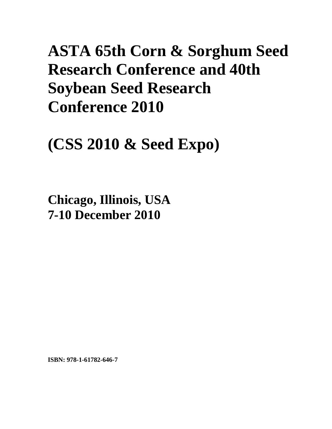# **ASTA 65th Corn & Sorghum Seed Research Conference and 40th Soybean Seed Research Conference 2010**

**(CSS 2010 & Seed Expo)** 

**Chicago, Illinois, USA 7-10 December 2010**

**ISBN: 978-1-61782-646-7**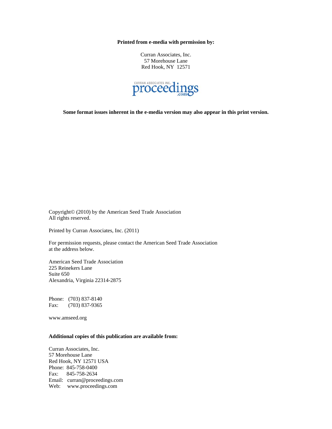**Printed from e-media with permission by:** 

Curran Associates, Inc. 57 Morehouse Lane Red Hook, NY 12571



**Some format issues inherent in the e-media version may also appear in this print version.** 

Copyright© (2010) by the American Seed Trade Association All rights reserved.

Printed by Curran Associates, Inc. (2011)

For permission requests, please contact the American Seed Trade Association at the address below.

American Seed Trade Association 225 Reinekers Lane Suite 650 Alexandria, Virginia 22314-2875

Phone: (703) 837-8140 Fax: (703) 837-9365

www.amseed.org

# **Additional copies of this publication are available from:**

Curran Associates, Inc. 57 Morehouse Lane Red Hook, NY 12571 USA Phone: 845-758-0400 Fax: 845-758-2634 Email: curran@proceedings.com Web: www.proceedings.com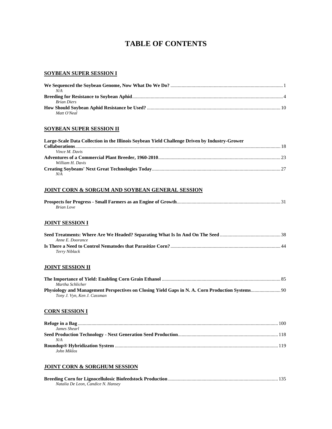# **TABLE OF CONTENTS**

#### **SOYBEAN SUPER SESSION I**

| N/A                |  |
|--------------------|--|
|                    |  |
| <b>Brian Diers</b> |  |
|                    |  |
| Matt O'Neal        |  |

#### **SOYBEAN SUPER SESSION II**

| Large-Scale Data Collection in the Illinois Soybean Yield Challenge Driven by Industry-Grower |  |
|-----------------------------------------------------------------------------------------------|--|
|                                                                                               |  |
| Vince M. Davis                                                                                |  |
|                                                                                               |  |
| William H. Davis                                                                              |  |
|                                                                                               |  |
| N/A                                                                                           |  |

#### **JOINT CORN & SORGUM AND SOYBEAN GENERAL SESSION**

| <b>Brian Love</b> |  |
|-------------------|--|

#### **JOINT SESSION I**

| Anne E. Doorance |  |
|------------------|--|
|                  |  |
| Terry Niblack    |  |

# **JOINT SESSION II**

| Martha Schlicher            |  |
|-----------------------------|--|
|                             |  |
| Tony J. Vyn, Ken J. Cassman |  |

#### **CORN SESSION I**

| James Shearl |  |
|--------------|--|
|              |  |
| N/A          |  |
|              |  |
| John Miklos  |  |

# **JOINT CORN & SORGHUM SESSION**

| Natalia De Leon, Candice N. Hansey |  |
|------------------------------------|--|